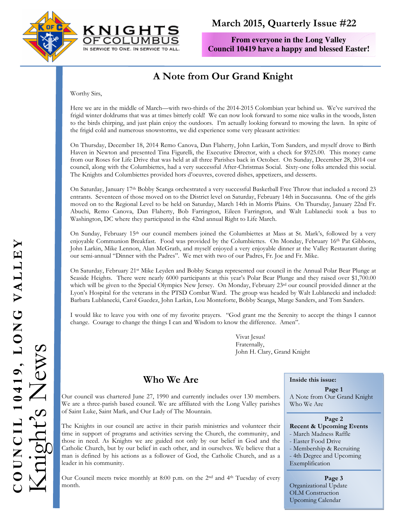



# March 2015, Quarterly Issue #22

**From everyone in the Long Valley Council 10419 have a happy and blessed Easter!** 

# A Note from Our Grand Knight

Worthy Sirs,

Here we are in the middle of March—with two-thirds of the 2014-2015 Colombian year behind us. We've survived the frigid winter doldrums that was at times bitterly cold! We can now look forward to some nice walks in the woods, listen to the birds chirping, and just plain enjoy the outdoors. I'm actually looking forward to mowing the lawn. In spite of the frigid cold and numerous snowstorms, we did experience some very pleasant activities:

On Thursday, December 18, 2014 Remo Canova, Dan Flaherty, John Larkin, Tom Sanders, and myself drove to Birth Haven in Newton and presented Tina Figurelli, the Executive Director, with a check for \$925.00. This money came from our Roses for Life Drive that was held at all three Parishes back in October. On Sunday, December 28, 2014 our council, along with the Columbiettes, had a very successful After-Christmas Social. Sixty-one folks attended this social. The Knights and Columbiettes provided hors d'oeuvres, covered dishes, appetizers, and desserts.

On Saturday, January 17th Bobby Scanga orchestrated a very successful Basketball Free Throw that included a record 23 entrants. Seventeen of those moved on to the District level on Saturday, February 14th in Succasunna. One of the girls moved on to the Regional Level to be held on Saturday, March 14th in Morris Plains. On Thursday, January 22nd Fr. Abuchi, Remo Canova, Dan Flaherty, Bob Farrington, Eileen Farrington, and Walt Lublanecki took a bus to Washington, DC where they participated in the 42nd annual Right to Life March.

On Sunday, February 15<sup>th</sup> our council members joined the Columbiettes at Mass at St. Mark's, followed by a very enjoyable Communion Breakfast. Food was provided by the Columbiettes. On Monday, February 16th Pat Gibbons, John Larkin, Mike Lennon, Alan McGrath, and myself enjoyed a very enjoyable dinner at the Valley Restaurant during our semi-annual "Dinner with the Padres". We met with two of our Padres, Fr. Joe and Fr. Mike.

On Saturday, February 21st Mike Leyden and Bobby Scanga represented our council in the Annual Polar Bear Plunge at Seaside Heights. There were nearly 6000 participants at this year's Polar Bear Plunge and they raised over \$1,700.00 which will be given to the Special Olympics New Jersey. On Monday, February 23<sup>rd</sup> our council provided dinner at the Lyon's Hospital for the veterans in the PTSD Combat Ward. The group was headed by Walt Lublanecki and included: Barbara Lublanecki, Carol Guedez, John Larkin, Lou Monteforte, Bobby Scanga, Marge Sanders, and Tom Sanders.

I would like to leave you with one of my favorite prayers. "God grant me the Serenity to accept the things I cannot change. Courage to change the things I can and Wisdom to know the difference. Amen".

> Vivat Jesus! Fraternally, John H. Clary, Grand Knight

# Who We Are

Our council was chartered June 27, 1990 and currently includes over 130 members. We are a three-parish based council. We are affiliated with the Long Valley parishes of Saint Luke, Saint Mark, and Our Lady of The Mountain.

The Knights in our council are active in their parish ministries and volunteer their time in support of programs and activities serving the Church, the community, and those in need. As Knights we are guided not only by our belief in God and the Catholic Church, but by our belief in each other, and in ourselves. We believe that a man is defined by his actions as a follower of God, the Catholic Church, and as a leader in his community.

Our Council meets twice monthly at 8:00 p.m. on the 2nd and 4th Tuesday of every month.

Inside this issue:

Page 1 A Note from Our Grand Knight Who We Are

Page 2 Recent & Upcoming Events - March Madness Raffle - Easter Food Drive - Membership & Recruiting - 4th Degree and Upcoming

Exemplification

#### Page 3

Organizational Update OLM Construction Upcoming Calendar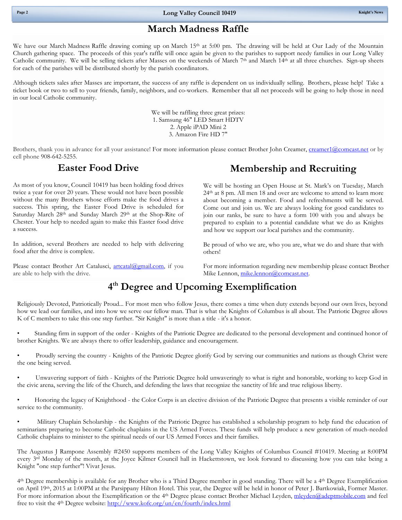### March Madness Raffle

We have our March Madness Raffle drawing coming up on March 15<sup>th</sup> at 5:00 pm. The drawing will be held at Our Lady of the Mountain Church gathering space. The proceeds of this year's raffle will once again be given to the parishes to support needy families in our Long Valley Catholic community. We will be selling tickets after Masses on the weekends of March  $7<sup>th</sup>$  and March  $14<sup>th</sup>$  at all three churches. Sign-up sheets for each of the parishes will be distributed shortly by the parish coordinators.

Although tickets sales after Masses are important, the success of any raffle is dependent on us individually selling. Brothers, please help! Take a ticket book or two to sell to your friends, family, neighbors, and co-workers. Remember that all net proceeds will be going to help those in need in our local Catholic community.

> We will be raffling three great prizes: 1. Samsung 46" LED Smart HDTV 2. Apple iPAD Mini 2 3. Amazon Fire HD 7"

Brothers, thank you in advance for all your assistance! For more information please contact Brother John Creamer, creamer1@comcast.net or by cell phone 908-642-5255.

#### Easter Food Drive

As most of you know, Council 10419 has been holding food drives twice a year for over 20 years. These would not have been possible without the many Brothers whose efforts make the food drives a success. This spring, the Easter Food Drive is scheduled for Saturday March 28<sup>th</sup> and Sunday March 29<sup>th</sup> at the Shop-Rite of Chester. Your help to needed again to make this Easter food drive a success.

In addition, several Brothers are needed to help with delivering food after the drive is complete.

Please contact Brother Art Catalusci, **artcatal@gmail.com**, if you are able to help with the drive.

# Membership and Recruiting

We will be hosting an Open House at St. Mark's on Tuesday, March 24th at 8 pm. All men 18 and over are welcome to attend to learn more about becoming a member. Food and refreshments will be served. Come out and join us. We are always looking for good candidates to join our ranks, be sure to have a form 100 with you and always be prepared to explain to a potential candidate what we do as Knights and how we support our local parishes and the community.

Be proud of who we are, who you are, what we do and share that with others!

For more information regarding new membership please contact Brother Mike Lennon, mike.lennon@comcast.net.

# 4 th Degree and Upcoming Exemplification

Religiously Devoted, Patriotically Proud... For most men who follow Jesus, there comes a time when duty extends beyond our own lives, beyond how we lead our families, and into how we serve our fellow man. That is what the Knights of Columbus is all about. The Patriotic Degree allows K of C members to take this one step further. "Sir Knight" is more than a title - it's a honor.

• Standing firm in support of the order - Knights of the Patriotic Degree are dedicated to the personal development and continued honor of brother Knights. We are always there to offer leadership, guidance and encouragement.

• Proudly serving the country - Knights of the Patriotic Degree glorify God by serving our communities and nations as though Christ were the one being served.

• Unwavering support of faith - Knights of the Patriotic Degree hold unwaveringly to what is right and honorable, working to keep God in the civic arena, serving the life of the Church, and defending the laws that recognize the sanctity of life and true religious liberty.

• Honoring the legacy of Knighthood - the Color Corps is an elective division of the Patriotic Degree that presents a visible reminder of our service to the community.

• Military Chaplain Scholarship - the Knights of the Patriotic Degree has established a scholarship program to help fund the education of seminarians preparing to become Catholic chaplains in the US Armed Forces. These funds will help produce a new generation of much-needed Catholic chaplains to minister to the spiritual needs of our US Armed Forces and their families.

The Augustus J Rampone Assembly #2450 supports members of the Long Valley Knights of Columbus Council #10419. Meeting at 8:00PM every 3rd Monday of the month, at the Joyce Kilmer Council hall in Hackettstown, we look forward to discussing how you can take being a Knight "one step further"! Vivat Jesus.

4 th Degree membership is available for any Brother who is a Third Degree member in good standing. There will be a 4th Degree Exemplification on April 19th, 2015 at 1:00PM at the Parsippany Hilton Hotel. This year, the Degree will be held in honor of Peter J. Bartkowiak, Former Master. For more information about the Exemplification or the 4<sup>th</sup> Degree please contact Brother Michael Leyden, mleyden@adeptmobile.com and feel free to visit the 4th Degree website: http://www.kofc.org/un/en/fourth/index.html